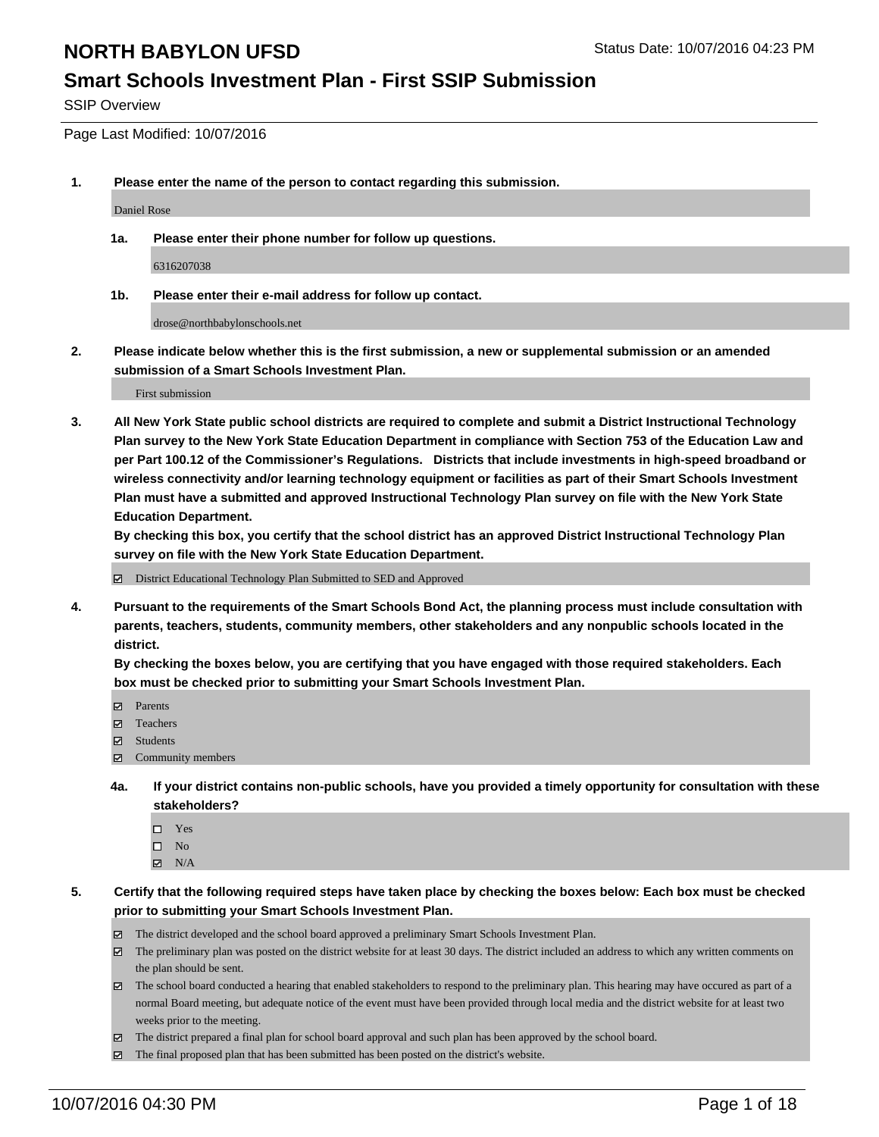#### **Smart Schools Investment Plan - First SSIP Submission**

SSIP Overview

Page Last Modified: 10/07/2016

**1. Please enter the name of the person to contact regarding this submission.**

Daniel Rose

**1a. Please enter their phone number for follow up questions.**

6316207038

**1b. Please enter their e-mail address for follow up contact.**

drose@northbabylonschools.net

**2. Please indicate below whether this is the first submission, a new or supplemental submission or an amended submission of a Smart Schools Investment Plan.**

First submission

**3. All New York State public school districts are required to complete and submit a District Instructional Technology Plan survey to the New York State Education Department in compliance with Section 753 of the Education Law and per Part 100.12 of the Commissioner's Regulations. Districts that include investments in high-speed broadband or wireless connectivity and/or learning technology equipment or facilities as part of their Smart Schools Investment Plan must have a submitted and approved Instructional Technology Plan survey on file with the New York State Education Department.** 

**By checking this box, you certify that the school district has an approved District Instructional Technology Plan survey on file with the New York State Education Department.**

District Educational Technology Plan Submitted to SED and Approved

**4. Pursuant to the requirements of the Smart Schools Bond Act, the planning process must include consultation with parents, teachers, students, community members, other stakeholders and any nonpublic schools located in the district.** 

**By checking the boxes below, you are certifying that you have engaged with those required stakeholders. Each box must be checked prior to submitting your Smart Schools Investment Plan.**

- Parents
- Teachers
- $\boxtimes$  Students
- Community members
- **4a. If your district contains non-public schools, have you provided a timely opportunity for consultation with these stakeholders?**
	- $\Box$  Yes  $\square$  No
	- $\boxtimes$  N/A
- **5. Certify that the following required steps have taken place by checking the boxes below: Each box must be checked prior to submitting your Smart Schools Investment Plan.**
	- The district developed and the school board approved a preliminary Smart Schools Investment Plan.
	- The preliminary plan was posted on the district website for at least 30 days. The district included an address to which any written comments on the plan should be sent.
	- The school board conducted a hearing that enabled stakeholders to respond to the preliminary plan. This hearing may have occured as part of a normal Board meeting, but adequate notice of the event must have been provided through local media and the district website for at least two weeks prior to the meeting.
	- The district prepared a final plan for school board approval and such plan has been approved by the school board.
	- The final proposed plan that has been submitted has been posted on the district's website.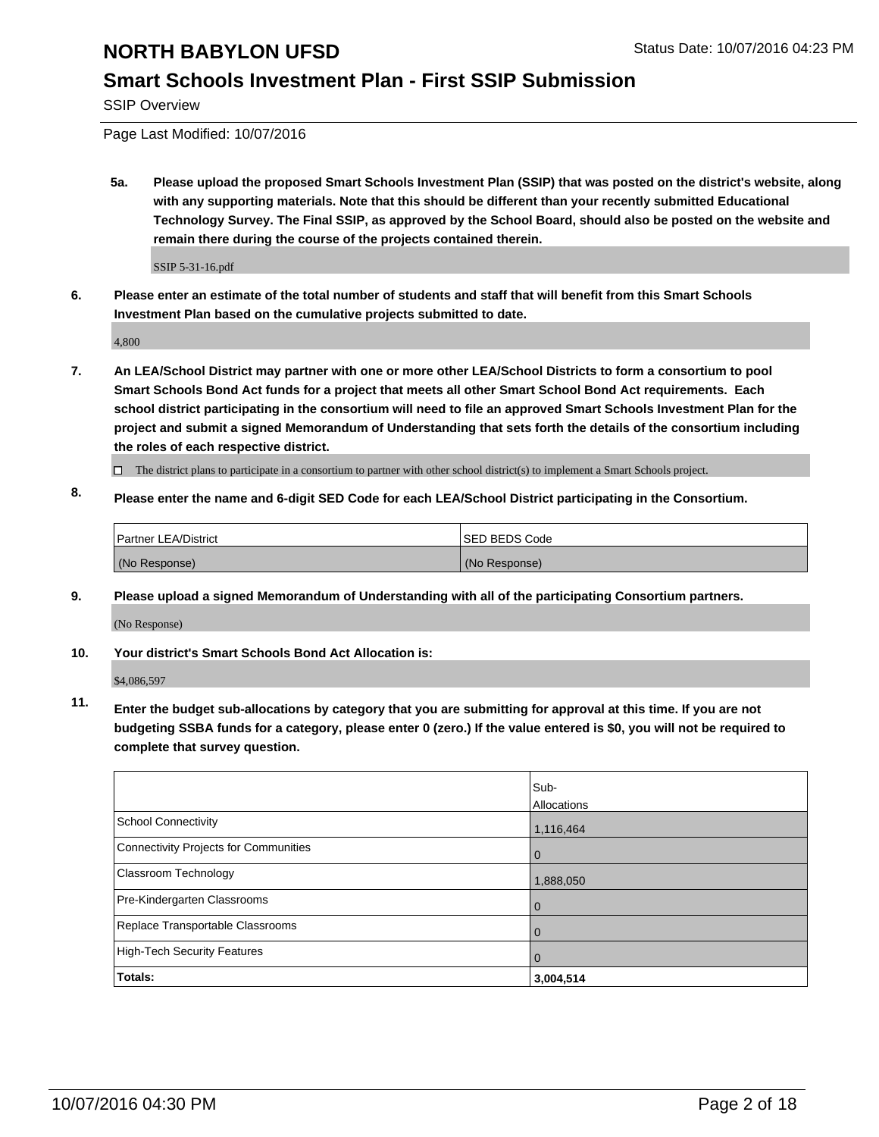## **Smart Schools Investment Plan - First SSIP Submission**

SSIP Overview

Page Last Modified: 10/07/2016

**5a. Please upload the proposed Smart Schools Investment Plan (SSIP) that was posted on the district's website, along with any supporting materials. Note that this should be different than your recently submitted Educational Technology Survey. The Final SSIP, as approved by the School Board, should also be posted on the website and remain there during the course of the projects contained therein.**

SSIP 5-31-16.pdf

**6. Please enter an estimate of the total number of students and staff that will benefit from this Smart Schools Investment Plan based on the cumulative projects submitted to date.**

4,800

- **7. An LEA/School District may partner with one or more other LEA/School Districts to form a consortium to pool Smart Schools Bond Act funds for a project that meets all other Smart School Bond Act requirements. Each school district participating in the consortium will need to file an approved Smart Schools Investment Plan for the project and submit a signed Memorandum of Understanding that sets forth the details of the consortium including the roles of each respective district.**
	- $\Box$  The district plans to participate in a consortium to partner with other school district(s) to implement a Smart Schools project.
- **8. Please enter the name and 6-digit SED Code for each LEA/School District participating in the Consortium.**

| Partner LEA/District | <b>ISED BEDS Code</b> |
|----------------------|-----------------------|
| (No Response)        | (No Response)         |

**9. Please upload a signed Memorandum of Understanding with all of the participating Consortium partners.**

(No Response)

#### **10. Your district's Smart Schools Bond Act Allocation is:**

\$4,086,597

**11. Enter the budget sub-allocations by category that you are submitting for approval at this time. If you are not budgeting SSBA funds for a category, please enter 0 (zero.) If the value entered is \$0, you will not be required to complete that survey question.**

|                                       | Sub-<br>Allocations |
|---------------------------------------|---------------------|
| <b>School Connectivity</b>            | 1,116,464           |
| Connectivity Projects for Communities | $\Omega$            |
| Classroom Technology                  | 1,888,050           |
| Pre-Kindergarten Classrooms           | $\Omega$            |
| Replace Transportable Classrooms      | $\Omega$            |
| <b>High-Tech Security Features</b>    | $\Omega$            |
| Totals:                               | 3,004,514           |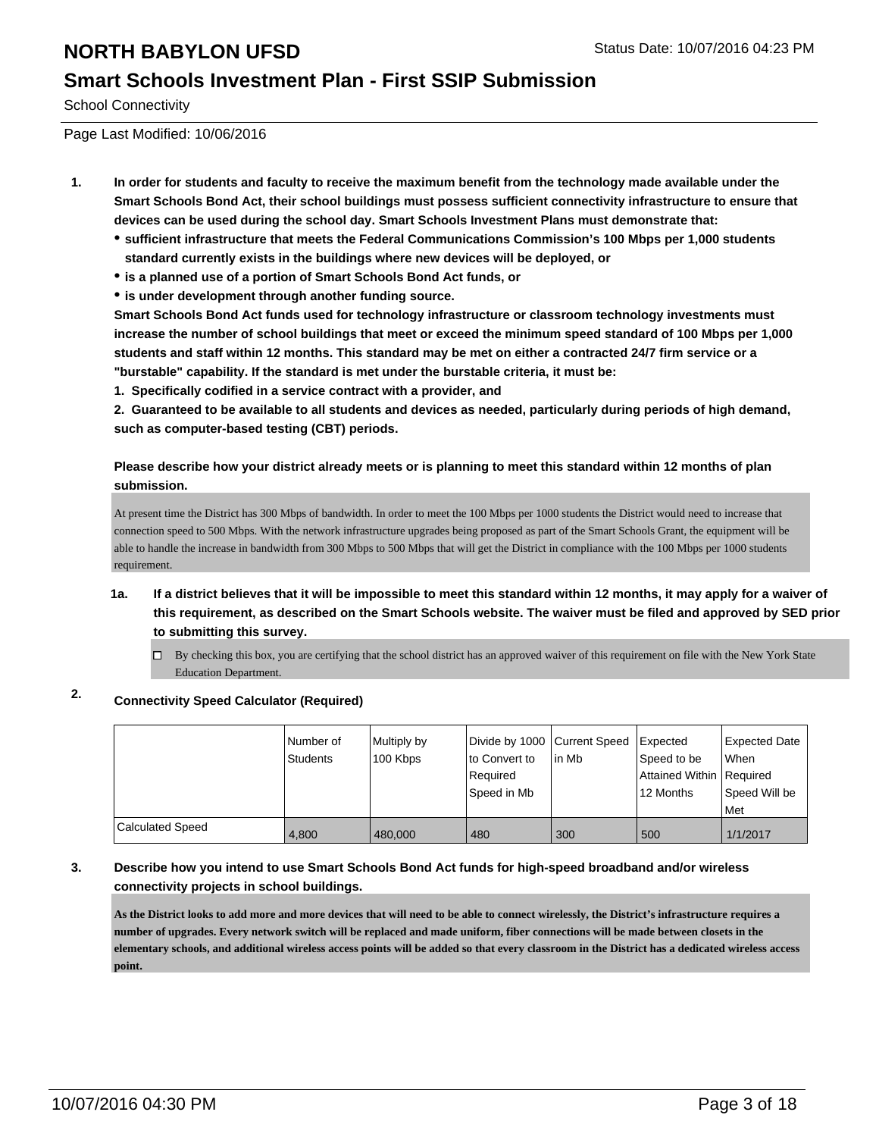#### **Smart Schools Investment Plan - First SSIP Submission**

School Connectivity

Page Last Modified: 10/06/2016

- **1. In order for students and faculty to receive the maximum benefit from the technology made available under the Smart Schools Bond Act, their school buildings must possess sufficient connectivity infrastructure to ensure that devices can be used during the school day. Smart Schools Investment Plans must demonstrate that:**
	- **sufficient infrastructure that meets the Federal Communications Commission's 100 Mbps per 1,000 students standard currently exists in the buildings where new devices will be deployed, or**
	- **is a planned use of a portion of Smart Schools Bond Act funds, or**
	- **is under development through another funding source.**

**Smart Schools Bond Act funds used for technology infrastructure or classroom technology investments must increase the number of school buildings that meet or exceed the minimum speed standard of 100 Mbps per 1,000 students and staff within 12 months. This standard may be met on either a contracted 24/7 firm service or a "burstable" capability. If the standard is met under the burstable criteria, it must be:**

**1. Specifically codified in a service contract with a provider, and**

**2. Guaranteed to be available to all students and devices as needed, particularly during periods of high demand, such as computer-based testing (CBT) periods.**

**Please describe how your district already meets or is planning to meet this standard within 12 months of plan submission.**

At present time the District has 300 Mbps of bandwidth. In order to meet the 100 Mbps per 1000 students the District would need to increase that connection speed to 500 Mbps. With the network infrastructure upgrades being proposed as part of the Smart Schools Grant, the equipment will be able to handle the increase in bandwidth from 300 Mbps to 500 Mbps that will get the District in compliance with the 100 Mbps per 1000 students requirement.

- **1a. If a district believes that it will be impossible to meet this standard within 12 months, it may apply for a waiver of this requirement, as described on the Smart Schools website. The waiver must be filed and approved by SED prior to submitting this survey.**
	- $\Box$  By checking this box, you are certifying that the school district has an approved waiver of this requirement on file with the New York State Education Department.

#### **2. Connectivity Speed Calculator (Required)**

|                  | l Number of<br>Students | Multiply by<br>100 Kbps | Divide by 1000 Current Speed<br>lto Convert to<br>Reauired<br>Speed in Mb | lin Mb | Expected<br>Speed to be<br>Attained Within   Required<br>12 Months | <b>Expected Date</b><br>lWhen<br>Speed Will be<br><b>Met</b> |
|------------------|-------------------------|-------------------------|---------------------------------------------------------------------------|--------|--------------------------------------------------------------------|--------------------------------------------------------------|
| Calculated Speed | 4.800                   | 480,000                 | 480                                                                       | 300    | 500                                                                | 1/1/2017                                                     |

#### **3. Describe how you intend to use Smart Schools Bond Act funds for high-speed broadband and/or wireless connectivity projects in school buildings.**

**As the District looks to add more and more devices that will need to be able to connect wirelessly, the District's infrastructure requires a number of upgrades. Every network switch will be replaced and made uniform, fiber connections will be made between closets in the elementary schools, and additional wireless access points will be added so that every classroom in the District has a dedicated wireless access point.**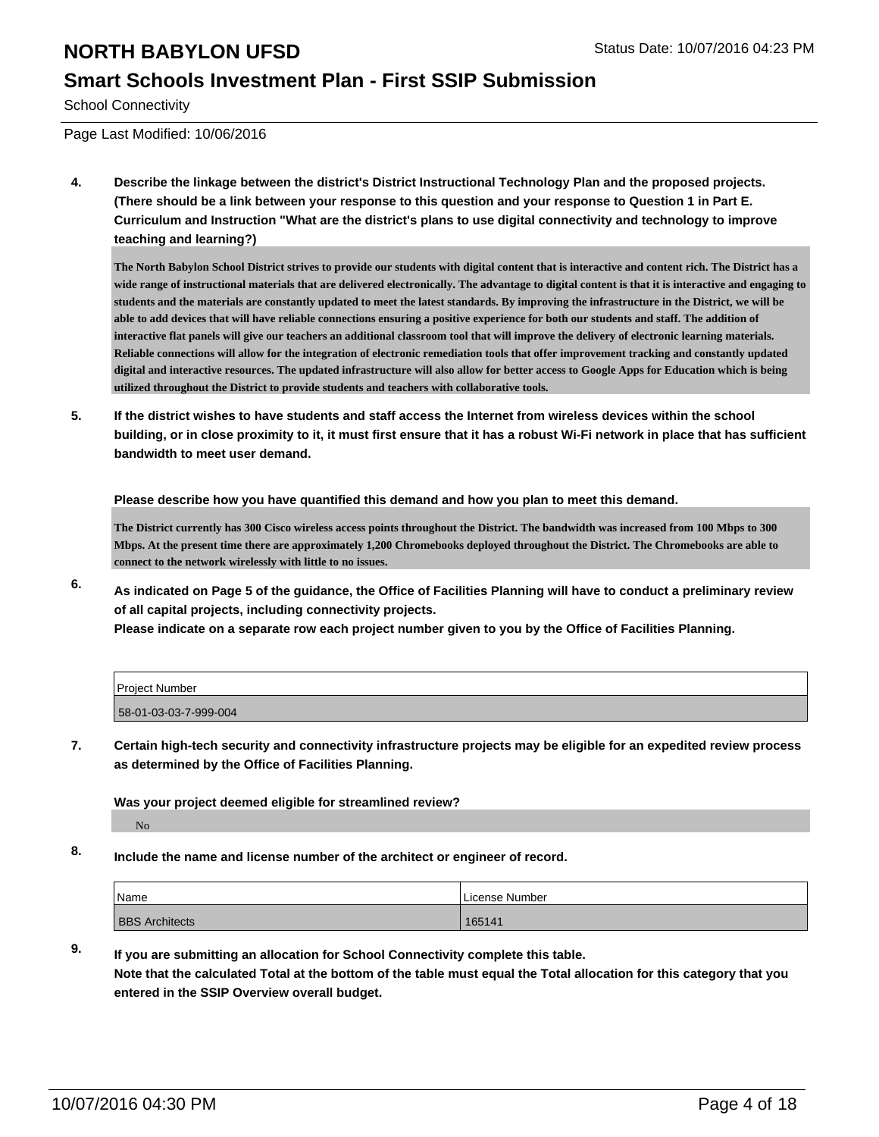#### **Smart Schools Investment Plan - First SSIP Submission**

School Connectivity

Page Last Modified: 10/06/2016

**4. Describe the linkage between the district's District Instructional Technology Plan and the proposed projects. (There should be a link between your response to this question and your response to Question 1 in Part E. Curriculum and Instruction "What are the district's plans to use digital connectivity and technology to improve teaching and learning?)**

**The North Babylon School District strives to provide our students with digital content that is interactive and content rich. The District has a wide range of instructional materials that are delivered electronically. The advantage to digital content is that it is interactive and engaging to students and the materials are constantly updated to meet the latest standards. By improving the infrastructure in the District, we will be able to add devices that will have reliable connections ensuring a positive experience for both our students and staff. The addition of interactive flat panels will give our teachers an additional classroom tool that will improve the delivery of electronic learning materials. Reliable connections will allow for the integration of electronic remediation tools that offer improvement tracking and constantly updated digital and interactive resources. The updated infrastructure will also allow for better access to Google Apps for Education which is being utilized throughout the District to provide students and teachers with collaborative tools.**

**5. If the district wishes to have students and staff access the Internet from wireless devices within the school building, or in close proximity to it, it must first ensure that it has a robust Wi-Fi network in place that has sufficient bandwidth to meet user demand.**

**Please describe how you have quantified this demand and how you plan to meet this demand.**

**The District currently has 300 Cisco wireless access points throughout the District. The bandwidth was increased from 100 Mbps to 300 Mbps. At the present time there are approximately 1,200 Chromebooks deployed throughout the District. The Chromebooks are able to connect to the network wirelessly with little to no issues.**

**6. As indicated on Page 5 of the guidance, the Office of Facilities Planning will have to conduct a preliminary review of all capital projects, including connectivity projects.**

**Please indicate on a separate row each project number given to you by the Office of Facilities Planning.**

| Project Number        |  |
|-----------------------|--|
| 58-01-03-03-7-999-004 |  |

**7. Certain high-tech security and connectivity infrastructure projects may be eligible for an expedited review process as determined by the Office of Facilities Planning.**

**Was your project deemed eligible for streamlined review?**

No

**8. Include the name and license number of the architect or engineer of record.**

| <sup>1</sup> Name     | License Number |
|-----------------------|----------------|
| <b>BBS Architects</b> | 165141         |

**9. If you are submitting an allocation for School Connectivity complete this table. Note that the calculated Total at the bottom of the table must equal the Total allocation for this category that you entered in the SSIP Overview overall budget.**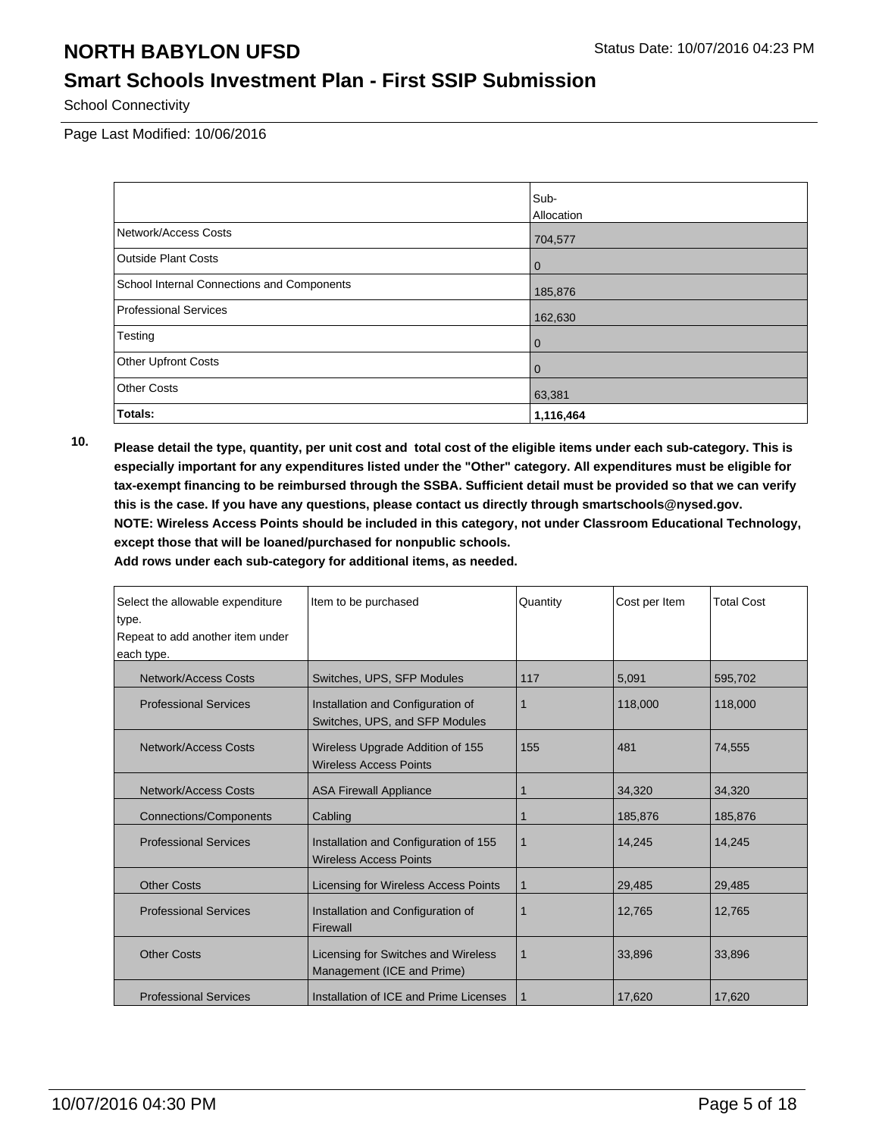## **Smart Schools Investment Plan - First SSIP Submission**

School Connectivity

Page Last Modified: 10/06/2016

|                                            | Sub-              |
|--------------------------------------------|-------------------|
|                                            | <b>Allocation</b> |
| Network/Access Costs                       | 704,577           |
| <b>Outside Plant Costs</b>                 | $\bf{0}$          |
| School Internal Connections and Components | 185,876           |
| Professional Services                      | 162,630           |
| Testing                                    | 0                 |
| <b>Other Upfront Costs</b>                 | 0                 |
| <b>Other Costs</b>                         | 63,381            |
| Totals:                                    | 1,116,464         |

**10. Please detail the type, quantity, per unit cost and total cost of the eligible items under each sub-category. This is especially important for any expenditures listed under the "Other" category. All expenditures must be eligible for tax-exempt financing to be reimbursed through the SSBA. Sufficient detail must be provided so that we can verify this is the case. If you have any questions, please contact us directly through smartschools@nysed.gov. NOTE: Wireless Access Points should be included in this category, not under Classroom Educational Technology, except those that will be loaned/purchased for nonpublic schools.**

| Select the allowable expenditure<br>type. | Item to be purchased                                                     | Quantity    | Cost per Item | <b>Total Cost</b> |
|-------------------------------------------|--------------------------------------------------------------------------|-------------|---------------|-------------------|
| Repeat to add another item under          |                                                                          |             |               |                   |
| each type.                                |                                                                          |             |               |                   |
| <b>Network/Access Costs</b>               | Switches, UPS, SFP Modules                                               | 117         | 5,091         | 595,702           |
| <b>Professional Services</b>              | Installation and Configuration of<br>Switches, UPS, and SFP Modules      | 1           | 118,000       | 118,000           |
| Network/Access Costs                      | Wireless Upgrade Addition of 155<br>155<br><b>Wireless Access Points</b> |             |               | 74,555            |
| <b>Network/Access Costs</b>               | <b>ASA Firewall Appliance</b>                                            |             | 34,320        | 34,320            |
| <b>Connections/Components</b>             | Cabling                                                                  | 1           | 185,876       | 185,876           |
| <b>Professional Services</b>              | Installation and Configuration of 155<br><b>Wireless Access Points</b>   | $\mathbf 1$ | 14,245        | 14,245            |
| <b>Other Costs</b>                        | Licensing for Wireless Access Points                                     | 1           | 29,485        | 29,485            |
| <b>Professional Services</b>              | Installation and Configuration of<br>Firewall                            | 1           | 12,765        | 12,765            |
| <b>Other Costs</b>                        | Licensing for Switches and Wireless<br>Management (ICE and Prime)        | $\mathbf 1$ | 33.896        | 33,896            |
| <b>Professional Services</b>              | Installation of ICE and Prime Licenses                                   |             | 17,620        | 17,620            |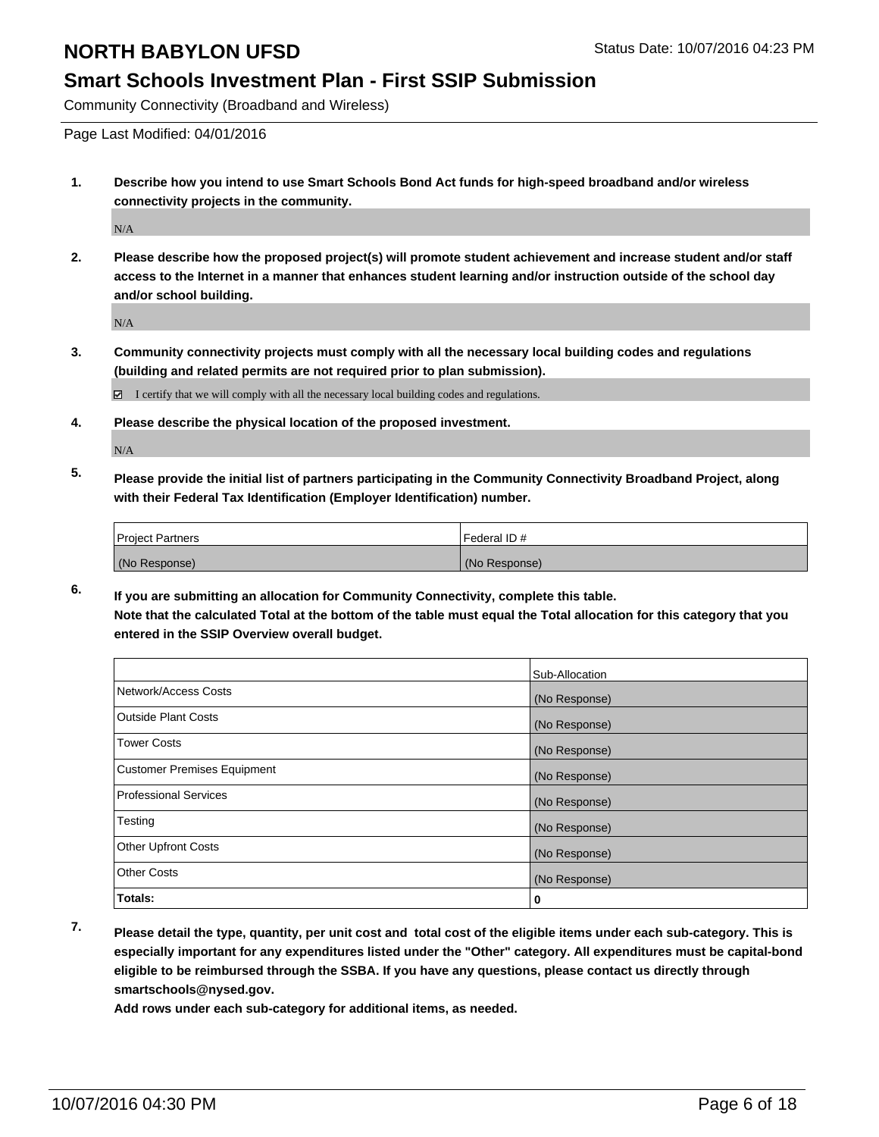#### **Smart Schools Investment Plan - First SSIP Submission**

Community Connectivity (Broadband and Wireless)

Page Last Modified: 04/01/2016

**1. Describe how you intend to use Smart Schools Bond Act funds for high-speed broadband and/or wireless connectivity projects in the community.**

N/A

**2. Please describe how the proposed project(s) will promote student achievement and increase student and/or staff access to the Internet in a manner that enhances student learning and/or instruction outside of the school day and/or school building.**

N/A

**3. Community connectivity projects must comply with all the necessary local building codes and regulations (building and related permits are not required prior to plan submission).**

 $\boxtimes$  I certify that we will comply with all the necessary local building codes and regulations.

**4. Please describe the physical location of the proposed investment.**

N/A

**5. Please provide the initial list of partners participating in the Community Connectivity Broadband Project, along with their Federal Tax Identification (Employer Identification) number.**

| <b>Project Partners</b> | Federal ID#   |
|-------------------------|---------------|
| (No Response)           | (No Response) |

**6. If you are submitting an allocation for Community Connectivity, complete this table. Note that the calculated Total at the bottom of the table must equal the Total allocation for this category that you entered in the SSIP Overview overall budget.**

|                                    | Sub-Allocation |
|------------------------------------|----------------|
| Network/Access Costs               | (No Response)  |
| Outside Plant Costs                | (No Response)  |
| Tower Costs                        | (No Response)  |
| <b>Customer Premises Equipment</b> | (No Response)  |
| Professional Services              | (No Response)  |
| Testing                            | (No Response)  |
| Other Upfront Costs                | (No Response)  |
| Other Costs                        | (No Response)  |
| Totals:                            | 0              |

**7. Please detail the type, quantity, per unit cost and total cost of the eligible items under each sub-category. This is especially important for any expenditures listed under the "Other" category. All expenditures must be capital-bond eligible to be reimbursed through the SSBA. If you have any questions, please contact us directly through smartschools@nysed.gov.**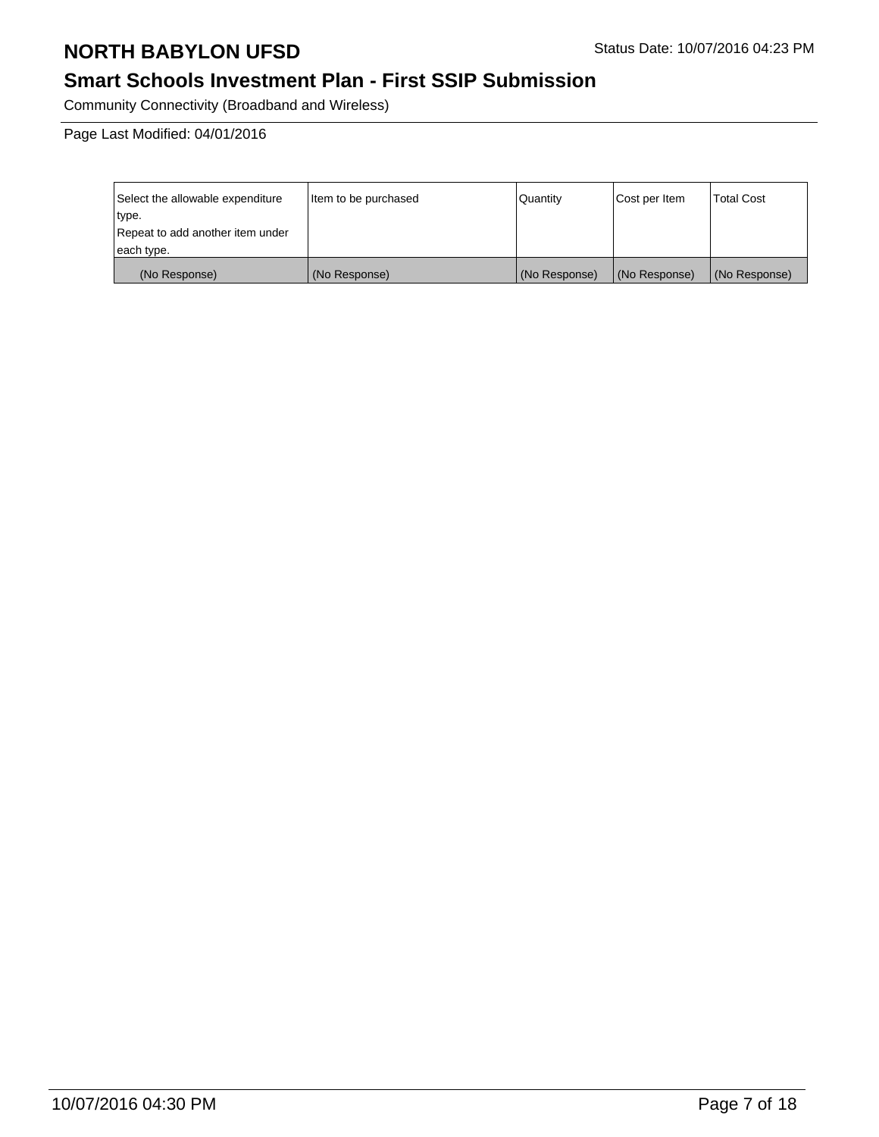# **Smart Schools Investment Plan - First SSIP Submission**

Community Connectivity (Broadband and Wireless)

Page Last Modified: 04/01/2016

| Select the allowable expenditure | litem to be purchased | Quantity      | Cost per Item | <b>Total Cost</b> |
|----------------------------------|-----------------------|---------------|---------------|-------------------|
| type.                            |                       |               |               |                   |
| Repeat to add another item under |                       |               |               |                   |
| each type.                       |                       |               |               |                   |
| (No Response)                    | (No Response)         | (No Response) | (No Response) | (No Response)     |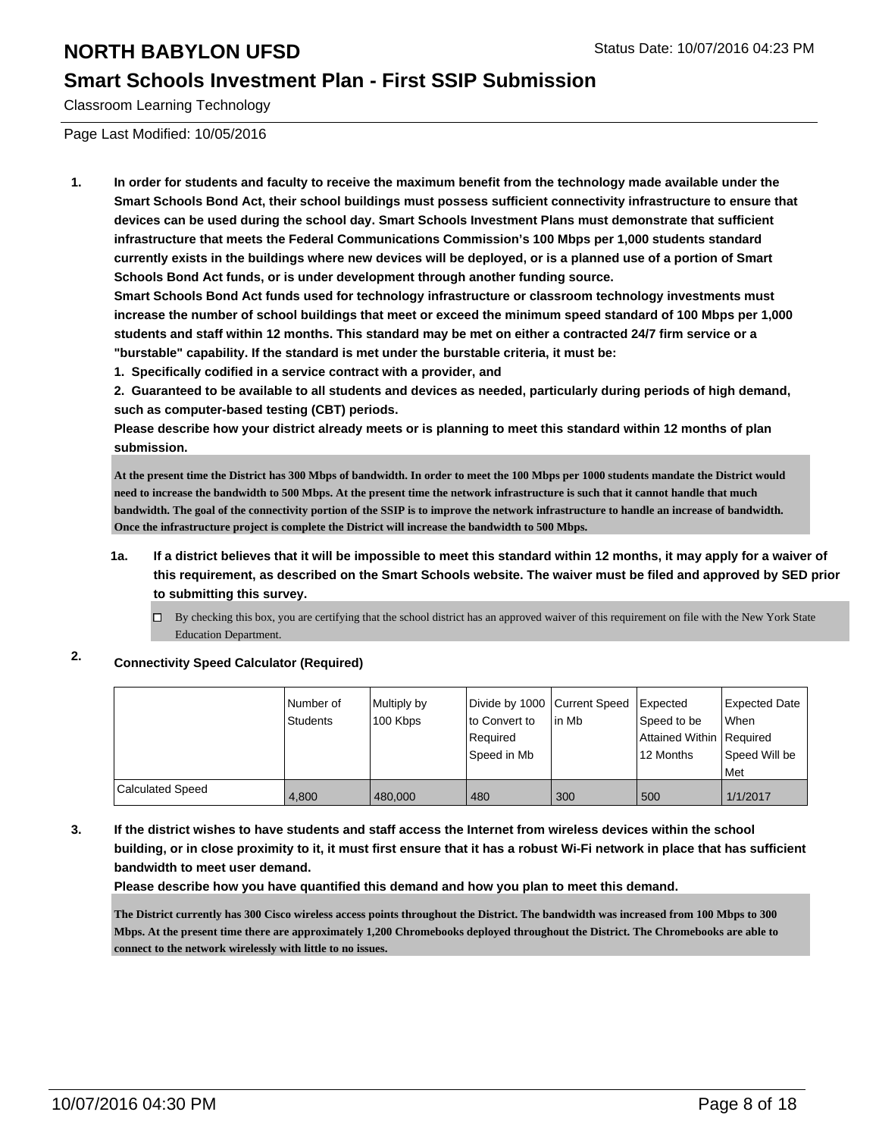#### **Smart Schools Investment Plan - First SSIP Submission**

Classroom Learning Technology

Page Last Modified: 10/05/2016

**1. In order for students and faculty to receive the maximum benefit from the technology made available under the Smart Schools Bond Act, their school buildings must possess sufficient connectivity infrastructure to ensure that devices can be used during the school day. Smart Schools Investment Plans must demonstrate that sufficient infrastructure that meets the Federal Communications Commission's 100 Mbps per 1,000 students standard currently exists in the buildings where new devices will be deployed, or is a planned use of a portion of Smart Schools Bond Act funds, or is under development through another funding source.**

**Smart Schools Bond Act funds used for technology infrastructure or classroom technology investments must increase the number of school buildings that meet or exceed the minimum speed standard of 100 Mbps per 1,000 students and staff within 12 months. This standard may be met on either a contracted 24/7 firm service or a "burstable" capability. If the standard is met under the burstable criteria, it must be:**

**1. Specifically codified in a service contract with a provider, and**

**2. Guaranteed to be available to all students and devices as needed, particularly during periods of high demand, such as computer-based testing (CBT) periods.**

**Please describe how your district already meets or is planning to meet this standard within 12 months of plan submission.**

**At the present time the District has 300 Mbps of bandwidth. In order to meet the 100 Mbps per 1000 students mandate the District would need to increase the bandwidth to 500 Mbps. At the present time the network infrastructure is such that it cannot handle that much bandwidth. The goal of the connectivity portion of the SSIP is to improve the network infrastructure to handle an increase of bandwidth. Once the infrastructure project is complete the District will increase the bandwidth to 500 Mbps.**

- **1a. If a district believes that it will be impossible to meet this standard within 12 months, it may apply for a waiver of this requirement, as described on the Smart Schools website. The waiver must be filed and approved by SED prior to submitting this survey.**
	- $\Box$  By checking this box, you are certifying that the school district has an approved waiver of this requirement on file with the New York State Education Department.

**2. Connectivity Speed Calculator (Required)**

|                         | Number of<br>Students | Multiply by<br>100 Kbps | Divide by 1000 Current Speed<br>lto Convert to<br>Required<br>Speed in Mb | lin Mb | <b>I</b> Expected<br>Speed to be<br>Attained Within Required<br>12 Months | <b>Expected Date</b><br>When<br>l Speed Will be<br>Met |
|-------------------------|-----------------------|-------------------------|---------------------------------------------------------------------------|--------|---------------------------------------------------------------------------|--------------------------------------------------------|
| <b>Calculated Speed</b> | 4.800                 | 480,000                 | 480                                                                       | 300    | 500                                                                       | 1/1/2017                                               |

**3. If the district wishes to have students and staff access the Internet from wireless devices within the school building, or in close proximity to it, it must first ensure that it has a robust Wi-Fi network in place that has sufficient bandwidth to meet user demand.**

**Please describe how you have quantified this demand and how you plan to meet this demand.**

**The District currently has 300 Cisco wireless access points throughout the District. The bandwidth was increased from 100 Mbps to 300 Mbps. At the present time there are approximately 1,200 Chromebooks deployed throughout the District. The Chromebooks are able to connect to the network wirelessly with little to no issues.**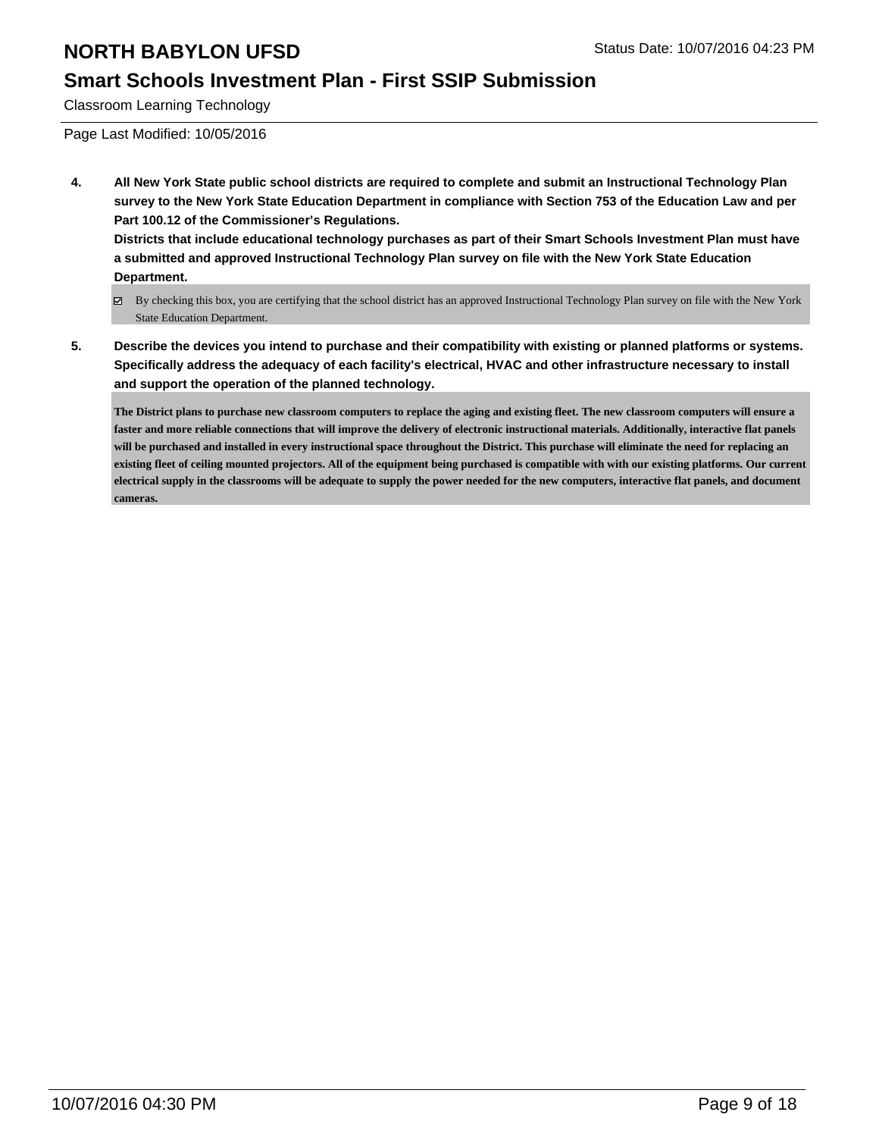#### **Smart Schools Investment Plan - First SSIP Submission**

Classroom Learning Technology

Page Last Modified: 10/05/2016

**4. All New York State public school districts are required to complete and submit an Instructional Technology Plan survey to the New York State Education Department in compliance with Section 753 of the Education Law and per Part 100.12 of the Commissioner's Regulations.**

**Districts that include educational technology purchases as part of their Smart Schools Investment Plan must have a submitted and approved Instructional Technology Plan survey on file with the New York State Education Department.**

- By checking this box, you are certifying that the school district has an approved Instructional Technology Plan survey on file with the New York State Education Department.
- **5. Describe the devices you intend to purchase and their compatibility with existing or planned platforms or systems. Specifically address the adequacy of each facility's electrical, HVAC and other infrastructure necessary to install and support the operation of the planned technology.**

**The District plans to purchase new classroom computers to replace the aging and existing fleet. The new classroom computers will ensure a faster and more reliable connections that will improve the delivery of electronic instructional materials. Additionally, interactive flat panels will be purchased and installed in every instructional space throughout the District. This purchase will eliminate the need for replacing an existing fleet of ceiling mounted projectors. All of the equipment being purchased is compatible with with our existing platforms. Our current electrical supply in the classrooms will be adequate to supply the power needed for the new computers, interactive flat panels, and document cameras.**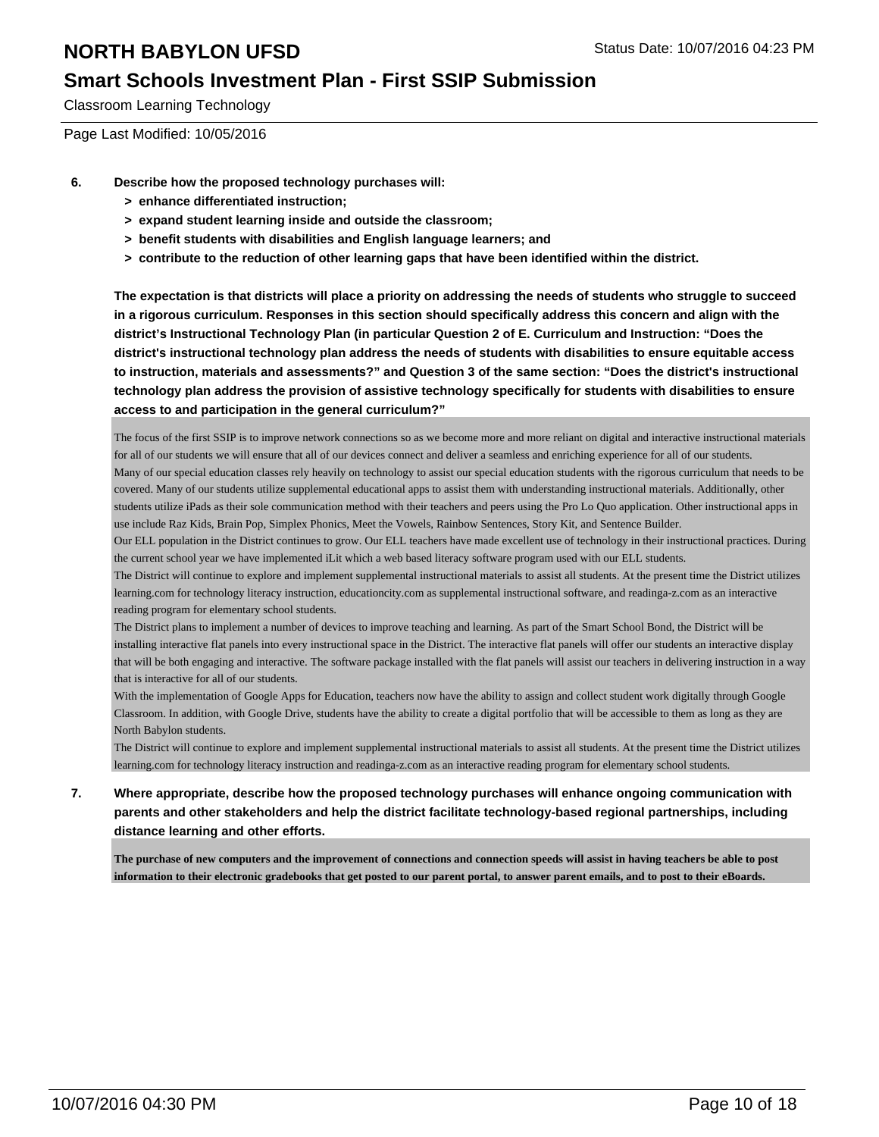### **Smart Schools Investment Plan - First SSIP Submission**

Classroom Learning Technology

Page Last Modified: 10/05/2016

- **6. Describe how the proposed technology purchases will:**
	- **> enhance differentiated instruction;**
	- **> expand student learning inside and outside the classroom;**
	- **> benefit students with disabilities and English language learners; and**
	- **> contribute to the reduction of other learning gaps that have been identified within the district.**

**The expectation is that districts will place a priority on addressing the needs of students who struggle to succeed in a rigorous curriculum. Responses in this section should specifically address this concern and align with the district's Instructional Technology Plan (in particular Question 2 of E. Curriculum and Instruction: "Does the district's instructional technology plan address the needs of students with disabilities to ensure equitable access to instruction, materials and assessments?" and Question 3 of the same section: "Does the district's instructional technology plan address the provision of assistive technology specifically for students with disabilities to ensure access to and participation in the general curriculum?"**

The focus of the first SSIP is to improve network connections so as we become more and more reliant on digital and interactive instructional materials for all of our students we will ensure that all of our devices connect and deliver a seamless and enriching experience for all of our students. Many of our special education classes rely heavily on technology to assist our special education students with the rigorous curriculum that needs to be covered. Many of our students utilize supplemental educational apps to assist them with understanding instructional materials. Additionally, other students utilize iPads as their sole communication method with their teachers and peers using the Pro Lo Quo application. Other instructional apps in use include Raz Kids, Brain Pop, Simplex Phonics, Meet the Vowels, Rainbow Sentences, Story Kit, and Sentence Builder.

Our ELL population in the District continues to grow. Our ELL teachers have made excellent use of technology in their instructional practices. During the current school year we have implemented iLit which a web based literacy software program used with our ELL students.

The District will continue to explore and implement supplemental instructional materials to assist all students. At the present time the District utilizes learning.com for technology literacy instruction, educationcity.com as supplemental instructional software, and readinga-z.com as an interactive reading program for elementary school students.

The District plans to implement a number of devices to improve teaching and learning. As part of the Smart School Bond, the District will be installing interactive flat panels into every instructional space in the District. The interactive flat panels will offer our students an interactive display that will be both engaging and interactive. The software package installed with the flat panels will assist our teachers in delivering instruction in a way that is interactive for all of our students.

With the implementation of Google Apps for Education, teachers now have the ability to assign and collect student work digitally through Google Classroom. In addition, with Google Drive, students have the ability to create a digital portfolio that will be accessible to them as long as they are North Babylon students.

The District will continue to explore and implement supplemental instructional materials to assist all students. At the present time the District utilizes learning.com for technology literacy instruction and readinga-z.com as an interactive reading program for elementary school students.

**7. Where appropriate, describe how the proposed technology purchases will enhance ongoing communication with parents and other stakeholders and help the district facilitate technology-based regional partnerships, including distance learning and other efforts.**

**The purchase of new computers and the improvement of connections and connection speeds will assist in having teachers be able to post information to their electronic gradebooks that get posted to our parent portal, to answer parent emails, and to post to their eBoards.**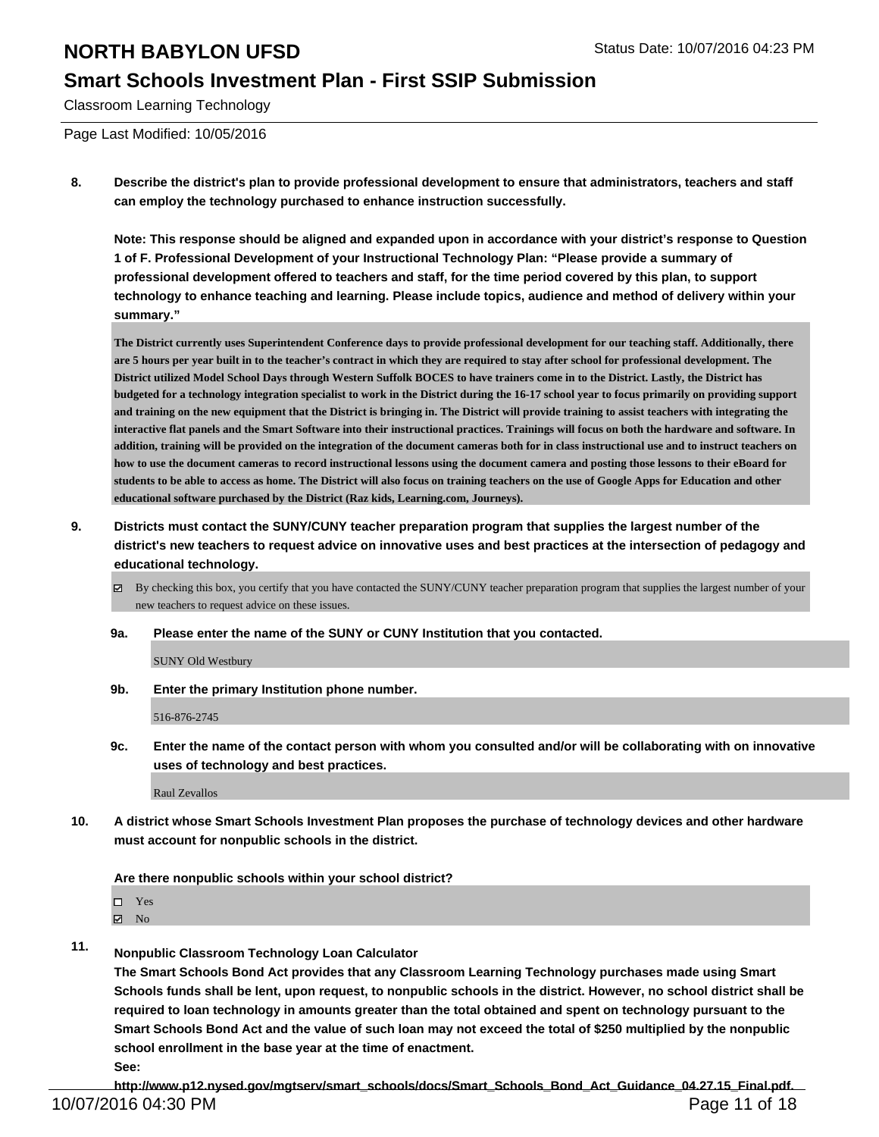#### **Smart Schools Investment Plan - First SSIP Submission**

Classroom Learning Technology

Page Last Modified: 10/05/2016

**8. Describe the district's plan to provide professional development to ensure that administrators, teachers and staff can employ the technology purchased to enhance instruction successfully.**

**Note: This response should be aligned and expanded upon in accordance with your district's response to Question 1 of F. Professional Development of your Instructional Technology Plan: "Please provide a summary of professional development offered to teachers and staff, for the time period covered by this plan, to support technology to enhance teaching and learning. Please include topics, audience and method of delivery within your summary."**

**The District currently uses Superintendent Conference days to provide professional development for our teaching staff. Additionally, there are 5 hours per year built in to the teacher's contract in which they are required to stay after school for professional development. The District utilized Model School Days through Western Suffolk BOCES to have trainers come in to the District. Lastly, the District has budgeted for a technology integration specialist to work in the District during the 16-17 school year to focus primarily on providing support and training on the new equipment that the District is bringing in. The District will provide training to assist teachers with integrating the interactive flat panels and the Smart Software into their instructional practices. Trainings will focus on both the hardware and software. In addition, training will be provided on the integration of the document cameras both for in class instructional use and to instruct teachers on how to use the document cameras to record instructional lessons using the document camera and posting those lessons to their eBoard for students to be able to access as home. The District will also focus on training teachers on the use of Google Apps for Education and other educational software purchased by the District (Raz kids, Learning.com, Journeys).**

**9. Districts must contact the SUNY/CUNY teacher preparation program that supplies the largest number of the district's new teachers to request advice on innovative uses and best practices at the intersection of pedagogy and educational technology.**

By checking this box, you certify that you have contacted the SUNY/CUNY teacher preparation program that supplies the largest number of your new teachers to request advice on these issues.

**9a. Please enter the name of the SUNY or CUNY Institution that you contacted.**

SUNY Old Westbury

**9b. Enter the primary Institution phone number.**

516-876-2745

**9c. Enter the name of the contact person with whom you consulted and/or will be collaborating with on innovative uses of technology and best practices.**

Raul Zevallos

**10. A district whose Smart Schools Investment Plan proposes the purchase of technology devices and other hardware must account for nonpublic schools in the district.**

**Are there nonpublic schools within your school district?**

- □ Yes
- $\boxtimes$  No
- **11. Nonpublic Classroom Technology Loan Calculator**

**The Smart Schools Bond Act provides that any Classroom Learning Technology purchases made using Smart Schools funds shall be lent, upon request, to nonpublic schools in the district. However, no school district shall be required to loan technology in amounts greater than the total obtained and spent on technology pursuant to the Smart Schools Bond Act and the value of such loan may not exceed the total of \$250 multiplied by the nonpublic school enrollment in the base year at the time of enactment. See:**

**http://www.p12.nysed.gov/mgtserv/smart\_schools/docs/Smart\_Schools\_Bond\_Act\_Guidance\_04.27.15\_Final.pdf.** 10/07/2016 04:30 PM Page 11 of 18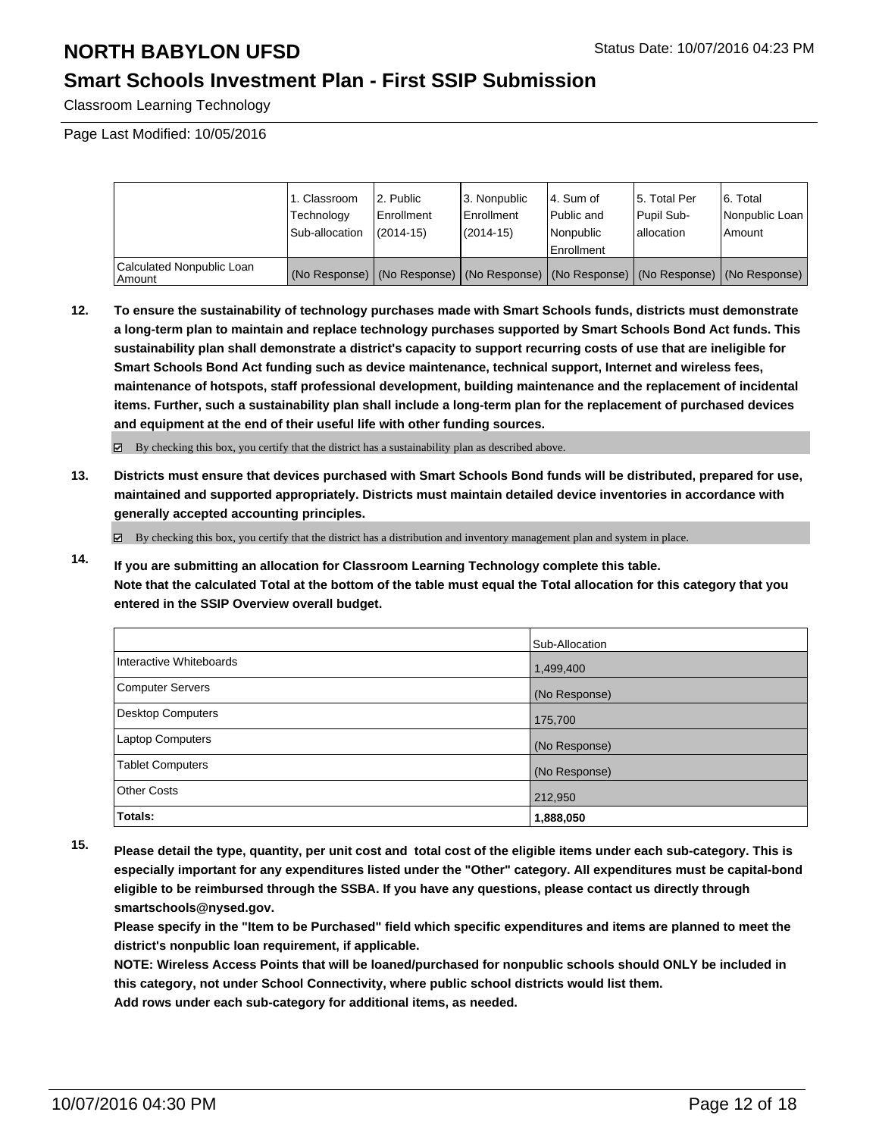## **Smart Schools Investment Plan - First SSIP Submission**

Classroom Learning Technology

Page Last Modified: 10/05/2016

|                                     | 1. Classroom<br>Technology<br>Sub-allocation | 2. Public<br>Enrollment<br>$(2014 - 15)$ | 3. Nonpublic<br><b>Enrollment</b><br>(2014-15) | 4. Sum of<br>Public and<br>Nonpublic<br>Enrollment                                            | 15. Total Per<br>Pupil Sub-<br>I allocation | 6. Total<br>Nonpublic Loan<br>Amount |
|-------------------------------------|----------------------------------------------|------------------------------------------|------------------------------------------------|-----------------------------------------------------------------------------------------------|---------------------------------------------|--------------------------------------|
| Calculated Nonpublic Loan<br>Amount |                                              |                                          |                                                | (No Response)   (No Response)   (No Response)   (No Response)   (No Response)   (No Response) |                                             |                                      |

**12. To ensure the sustainability of technology purchases made with Smart Schools funds, districts must demonstrate a long-term plan to maintain and replace technology purchases supported by Smart Schools Bond Act funds. This sustainability plan shall demonstrate a district's capacity to support recurring costs of use that are ineligible for Smart Schools Bond Act funding such as device maintenance, technical support, Internet and wireless fees, maintenance of hotspots, staff professional development, building maintenance and the replacement of incidental items. Further, such a sustainability plan shall include a long-term plan for the replacement of purchased devices and equipment at the end of their useful life with other funding sources.**

By checking this box, you certify that the district has a sustainability plan as described above.

**13. Districts must ensure that devices purchased with Smart Schools Bond funds will be distributed, prepared for use, maintained and supported appropriately. Districts must maintain detailed device inventories in accordance with generally accepted accounting principles.**

By checking this box, you certify that the district has a distribution and inventory management plan and system in place.

**14. If you are submitting an allocation for Classroom Learning Technology complete this table. Note that the calculated Total at the bottom of the table must equal the Total allocation for this category that you entered in the SSIP Overview overall budget.**

|                         | Sub-Allocation |
|-------------------------|----------------|
| Interactive Whiteboards | 1,499,400      |
| Computer Servers        | (No Response)  |
| Desktop Computers       | 175,700        |
| <b>Laptop Computers</b> | (No Response)  |
| <b>Tablet Computers</b> | (No Response)  |
| Other Costs             | 212,950        |
| Totals:                 | 1,888,050      |

**15. Please detail the type, quantity, per unit cost and total cost of the eligible items under each sub-category. This is especially important for any expenditures listed under the "Other" category. All expenditures must be capital-bond eligible to be reimbursed through the SSBA. If you have any questions, please contact us directly through smartschools@nysed.gov.**

**Please specify in the "Item to be Purchased" field which specific expenditures and items are planned to meet the district's nonpublic loan requirement, if applicable.**

**NOTE: Wireless Access Points that will be loaned/purchased for nonpublic schools should ONLY be included in this category, not under School Connectivity, where public school districts would list them. Add rows under each sub-category for additional items, as needed.**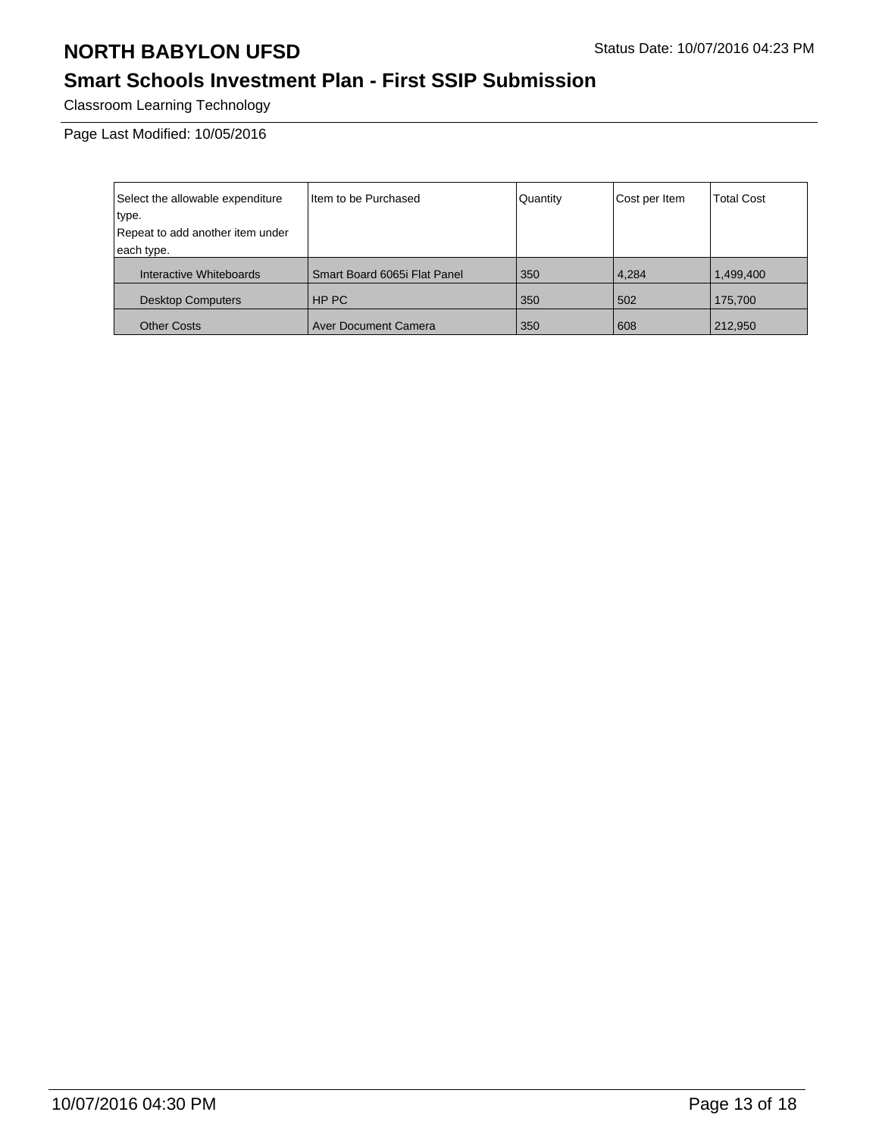# **Smart Schools Investment Plan - First SSIP Submission**

Classroom Learning Technology

Page Last Modified: 10/05/2016

| Select the allowable expenditure | Item to be Purchased         | Quantity | Cost per Item | <b>Total Cost</b> |
|----------------------------------|------------------------------|----------|---------------|-------------------|
| type.                            |                              |          |               |                   |
| Repeat to add another item under |                              |          |               |                   |
| each type.                       |                              |          |               |                   |
| Interactive Whiteboards          | Smart Board 6065i Flat Panel | 350      | 4,284         | 1,499,400         |
| <b>Desktop Computers</b>         | HP PC                        | 350      | 502           | 175,700           |
| <b>Other Costs</b>               | <b>Aver Document Camera</b>  | 350      | 608           | 212,950           |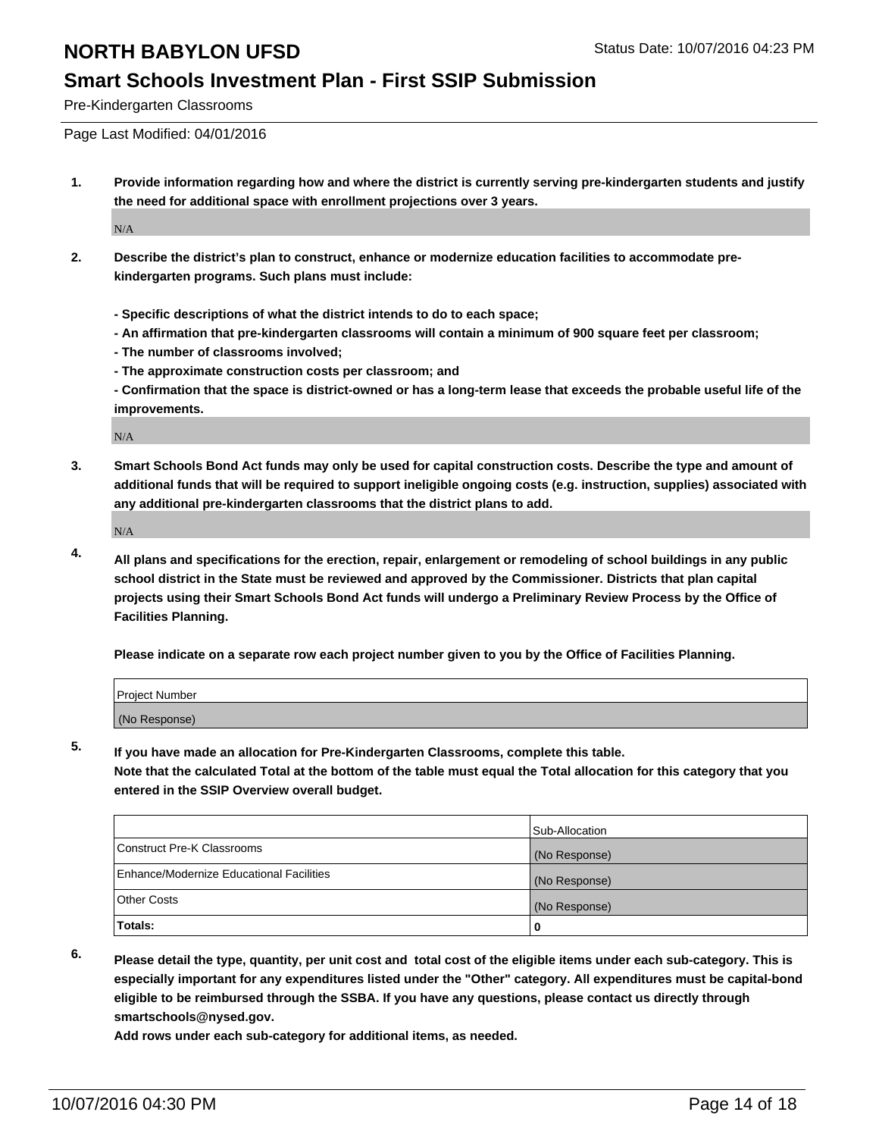#### **Smart Schools Investment Plan - First SSIP Submission**

Pre-Kindergarten Classrooms

Page Last Modified: 04/01/2016

**1. Provide information regarding how and where the district is currently serving pre-kindergarten students and justify the need for additional space with enrollment projections over 3 years.**

N/A

- **2. Describe the district's plan to construct, enhance or modernize education facilities to accommodate prekindergarten programs. Such plans must include:**
	- **Specific descriptions of what the district intends to do to each space;**
	- **An affirmation that pre-kindergarten classrooms will contain a minimum of 900 square feet per classroom;**
	- **The number of classrooms involved;**
	- **The approximate construction costs per classroom; and**
	- **Confirmation that the space is district-owned or has a long-term lease that exceeds the probable useful life of the improvements.**

N/A

**3. Smart Schools Bond Act funds may only be used for capital construction costs. Describe the type and amount of additional funds that will be required to support ineligible ongoing costs (e.g. instruction, supplies) associated with any additional pre-kindergarten classrooms that the district plans to add.**

N/A

**4. All plans and specifications for the erection, repair, enlargement or remodeling of school buildings in any public school district in the State must be reviewed and approved by the Commissioner. Districts that plan capital projects using their Smart Schools Bond Act funds will undergo a Preliminary Review Process by the Office of Facilities Planning.**

**Please indicate on a separate row each project number given to you by the Office of Facilities Planning.**

| Project Number |  |
|----------------|--|
| (No Response)  |  |

**5. If you have made an allocation for Pre-Kindergarten Classrooms, complete this table.**

**Note that the calculated Total at the bottom of the table must equal the Total allocation for this category that you entered in the SSIP Overview overall budget.**

|                                          | Sub-Allocation |
|------------------------------------------|----------------|
| Construct Pre-K Classrooms               | (No Response)  |
| Enhance/Modernize Educational Facilities | (No Response)  |
| Other Costs                              | (No Response)  |
| Totals:                                  |                |

**6. Please detail the type, quantity, per unit cost and total cost of the eligible items under each sub-category. This is especially important for any expenditures listed under the "Other" category. All expenditures must be capital-bond eligible to be reimbursed through the SSBA. If you have any questions, please contact us directly through smartschools@nysed.gov.**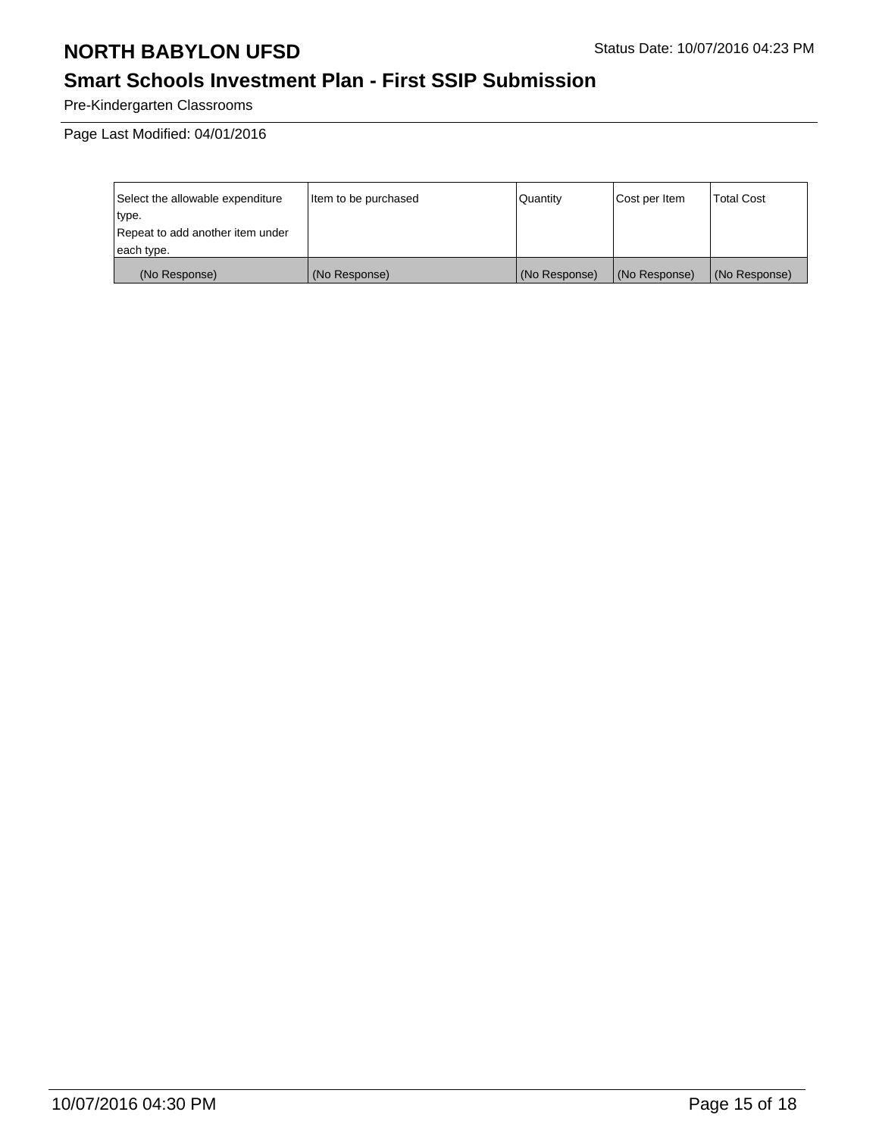# **Smart Schools Investment Plan - First SSIP Submission**

Pre-Kindergarten Classrooms

Page Last Modified: 04/01/2016

| Select the allowable expenditure | litem to be purchased | Quantity      | Cost per Item | <b>Total Cost</b> |
|----------------------------------|-----------------------|---------------|---------------|-------------------|
| type.                            |                       |               |               |                   |
| Repeat to add another item under |                       |               |               |                   |
| each type.                       |                       |               |               |                   |
| (No Response)                    | (No Response)         | (No Response) | (No Response) | (No Response)     |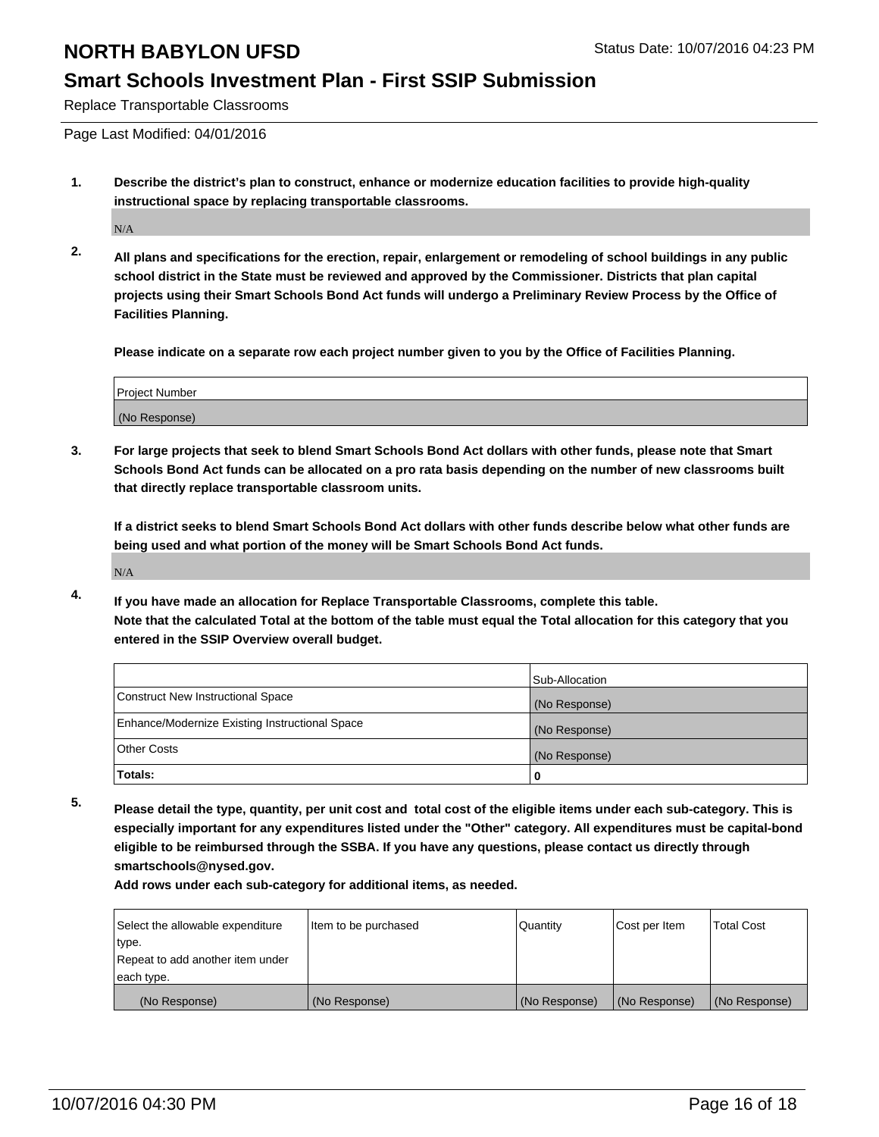#### **Smart Schools Investment Plan - First SSIP Submission**

Replace Transportable Classrooms

Page Last Modified: 04/01/2016

**1. Describe the district's plan to construct, enhance or modernize education facilities to provide high-quality instructional space by replacing transportable classrooms.**

N/A

**2. All plans and specifications for the erection, repair, enlargement or remodeling of school buildings in any public school district in the State must be reviewed and approved by the Commissioner. Districts that plan capital projects using their Smart Schools Bond Act funds will undergo a Preliminary Review Process by the Office of Facilities Planning.**

**Please indicate on a separate row each project number given to you by the Office of Facilities Planning.**

| Project Number |  |
|----------------|--|
| (No Response)  |  |

**3. For large projects that seek to blend Smart Schools Bond Act dollars with other funds, please note that Smart Schools Bond Act funds can be allocated on a pro rata basis depending on the number of new classrooms built that directly replace transportable classroom units.**

**If a district seeks to blend Smart Schools Bond Act dollars with other funds describe below what other funds are being used and what portion of the money will be Smart Schools Bond Act funds.**

N/A

**4. If you have made an allocation for Replace Transportable Classrooms, complete this table. Note that the calculated Total at the bottom of the table must equal the Total allocation for this category that you entered in the SSIP Overview overall budget.**

|                                                | Sub-Allocation |
|------------------------------------------------|----------------|
| Construct New Instructional Space              | (No Response)  |
| Enhance/Modernize Existing Instructional Space | (No Response)  |
| Other Costs                                    | (No Response)  |
| Totals:                                        | 0              |

**5. Please detail the type, quantity, per unit cost and total cost of the eligible items under each sub-category. This is especially important for any expenditures listed under the "Other" category. All expenditures must be capital-bond eligible to be reimbursed through the SSBA. If you have any questions, please contact us directly through smartschools@nysed.gov.**

| Select the allowable expenditure | Item to be purchased | Quantity      | Cost per Item | Total Cost    |
|----------------------------------|----------------------|---------------|---------------|---------------|
| type.                            |                      |               |               |               |
| Repeat to add another item under |                      |               |               |               |
| each type.                       |                      |               |               |               |
| (No Response)                    | (No Response)        | (No Response) | (No Response) | (No Response) |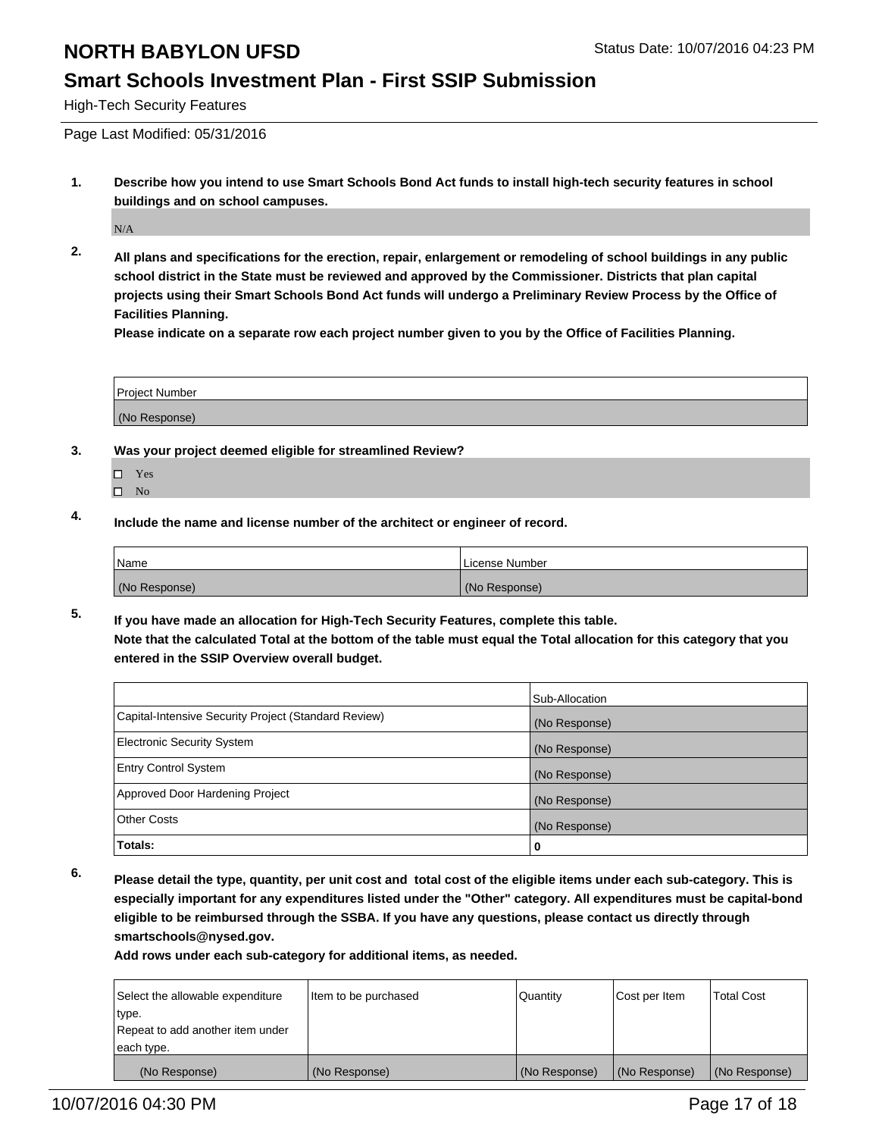### **Smart Schools Investment Plan - First SSIP Submission**

High-Tech Security Features

Page Last Modified: 05/31/2016

**1. Describe how you intend to use Smart Schools Bond Act funds to install high-tech security features in school buildings and on school campuses.**

N/A

**2. All plans and specifications for the erection, repair, enlargement or remodeling of school buildings in any public school district in the State must be reviewed and approved by the Commissioner. Districts that plan capital projects using their Smart Schools Bond Act funds will undergo a Preliminary Review Process by the Office of Facilities Planning.** 

**Please indicate on a separate row each project number given to you by the Office of Facilities Planning.**

| <b>Project Number</b> |  |
|-----------------------|--|
| (No Response)         |  |

- **3. Was your project deemed eligible for streamlined Review?**
	- □ Yes
	- $\square$  No
- **4. Include the name and license number of the architect or engineer of record.**

| Name          | License Number |
|---------------|----------------|
| (No Response) | (No Response)  |

**5. If you have made an allocation for High-Tech Security Features, complete this table. Note that the calculated Total at the bottom of the table must equal the Total allocation for this category that you entered in the SSIP Overview overall budget.**

|                                                      | Sub-Allocation |
|------------------------------------------------------|----------------|
| Capital-Intensive Security Project (Standard Review) | (No Response)  |
| <b>Electronic Security System</b>                    | (No Response)  |
| <b>Entry Control System</b>                          | (No Response)  |
| Approved Door Hardening Project                      | (No Response)  |
| <b>Other Costs</b>                                   | (No Response)  |
| Totals:                                              | 0              |

**6. Please detail the type, quantity, per unit cost and total cost of the eligible items under each sub-category. This is especially important for any expenditures listed under the "Other" category. All expenditures must be capital-bond eligible to be reimbursed through the SSBA. If you have any questions, please contact us directly through smartschools@nysed.gov.**

| Select the allowable expenditure | ltem to be purchased | Quantity      | Cost per Item | <b>Total Cost</b> |
|----------------------------------|----------------------|---------------|---------------|-------------------|
| type.                            |                      |               |               |                   |
| Repeat to add another item under |                      |               |               |                   |
| each type.                       |                      |               |               |                   |
| (No Response)                    | (No Response)        | (No Response) | (No Response) | (No Response)     |